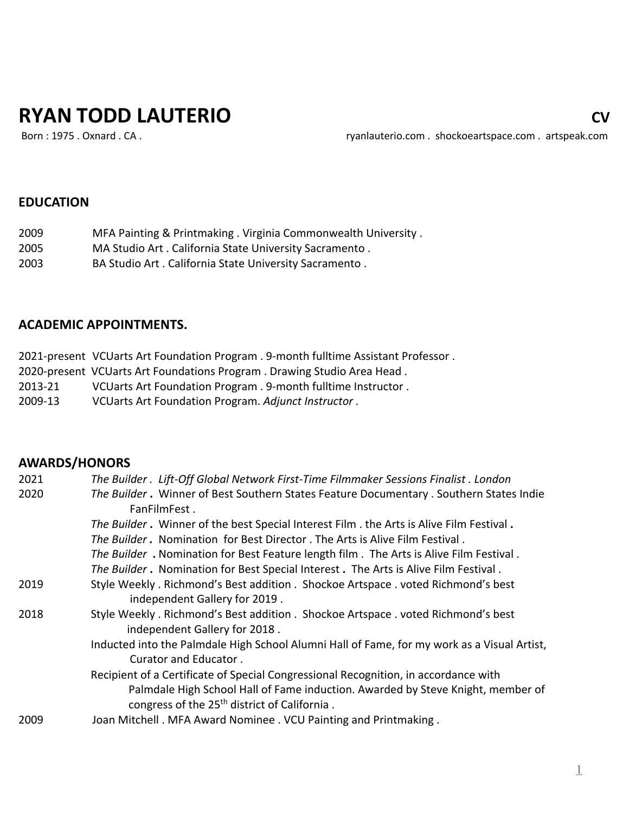# **RYAN TODD LAUTERIO CONTRACT CONTRACT CONTRACT CONTRACT CONTRACT CONTRACT CONTRACT CONTRACT CONTRACT CONTRACT CONTRACT CONTRACT CONTRACT CONTRACT CONTRACT CONTRACT CONTRACT CONTRACT CONTRACT CONTRACT CONTRACT CONTRACT CONT**

Born : 1975 . Oxnard . CA . The state of the state of the ryanlauterio.com . shockoeartspace.com . artspeak.com

## **EDUCATION**

| 2009 | MFA Painting & Printmaking . Virginia Commonwealth University . |
|------|-----------------------------------------------------------------|
|      |                                                                 |

- 2005 MA Studio Art . California State University Sacramento .
- 2003 BA Studio Art . California State University Sacramento .

## **ACADEMIC APPOINTMENTS.**

|         | 2021-present VCUarts Art Foundation Program. 9-month fulltime Assistant Professor. |
|---------|------------------------------------------------------------------------------------|
|         | 2020-present VCUarts Art Foundations Program. Drawing Studio Area Head.            |
| 2013-21 | VCUarts Art Foundation Program . 9-month fulltime Instructor .                     |
| 2009-13 | VCUarts Art Foundation Program. Adjunct Instructor.                                |

## **AWARDS/HONORS**

| 2021 | The Builder . Lift-Off Global Network First-Time Filmmaker Sessions Finalist . London       |
|------|---------------------------------------------------------------------------------------------|
| 2020 | The Builder. Winner of Best Southern States Feature Documentary. Southern States Indie      |
|      | FanFilmFest.                                                                                |
|      | The Builder. Winner of the best Special Interest Film . the Arts is Alive Film Festival.    |
|      | The Builder. Nomination for Best Director. The Arts is Alive Film Festival.                 |
|      | The Builder. Nomination for Best Feature length film. The Arts is Alive Film Festival.      |
|      | The Builder. Nomination for Best Special Interest. The Arts is Alive Film Festival.         |
| 2019 | Style Weekly. Richmond's Best addition. Shockoe Artspace. voted Richmond's best             |
|      | independent Gallery for 2019.                                                               |
| 2018 | Style Weekly. Richmond's Best addition. Shockoe Artspace. voted Richmond's best             |
|      | independent Gallery for 2018.                                                               |
|      | Inducted into the Palmdale High School Alumni Hall of Fame, for my work as a Visual Artist, |
|      | Curator and Educator.                                                                       |
|      | Recipient of a Certificate of Special Congressional Recognition, in accordance with         |
|      | Palmdale High School Hall of Fame induction. Awarded by Steve Knight, member of             |
|      | congress of the 25 <sup>th</sup> district of California.                                    |
| 2009 | Joan Mitchell. MFA Award Nominee. VCU Painting and Printmaking.                             |
|      |                                                                                             |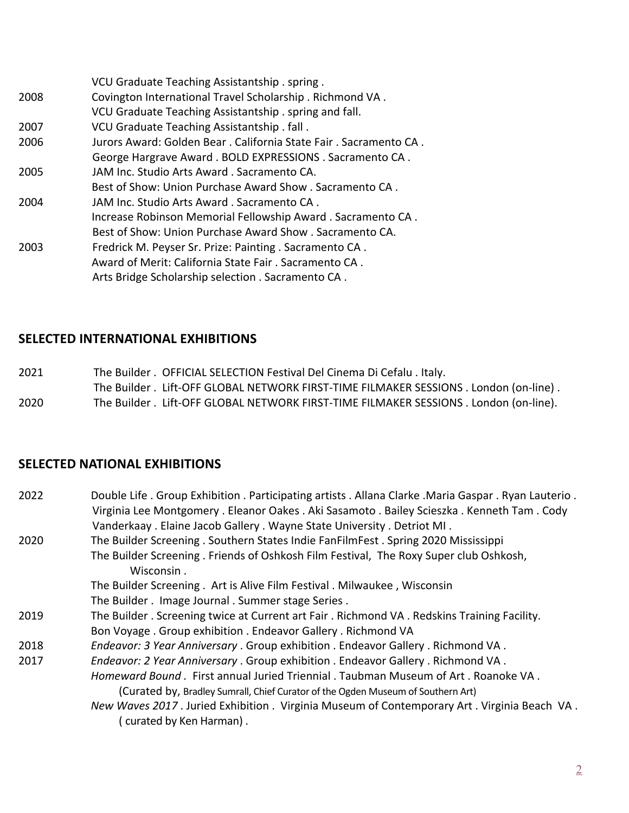|      | VCU Graduate Teaching Assistantship . spring .                   |
|------|------------------------------------------------------------------|
| 2008 | Covington International Travel Scholarship . Richmond VA.        |
|      | VCU Graduate Teaching Assistantship . spring and fall.           |
| 2007 | VCU Graduate Teaching Assistantship. fall.                       |
| 2006 | Jurors Award: Golden Bear. California State Fair. Sacramento CA. |
|      | George Hargrave Award. BOLD EXPRESSIONS. Sacramento CA.          |
| 2005 | JAM Inc. Studio Arts Award, Sacramento CA.                       |
|      | Best of Show: Union Purchase Award Show, Sacramento CA,          |
| 2004 | JAM Inc. Studio Arts Award . Sacramento CA.                      |
|      | Increase Robinson Memorial Fellowship Award. Sacramento CA.      |
|      | Best of Show: Union Purchase Award Show . Sacramento CA.         |
| 2003 | Fredrick M. Peyser Sr. Prize: Painting . Sacramento CA.          |
|      | Award of Merit: California State Fair . Sacramento CA.           |
|      | Arts Bridge Scholarship selection . Sacramento CA.               |
|      |                                                                  |

## **SELECTED INTERNATIONAL EXHIBITIONS**

2021 The Builder . OFFICIAL SELECTION Festival Del Cinema Di Cefalu . Italy. The Builder . Lift-OFF GLOBAL NETWORK FIRST-TIME FILMAKER SESSIONS . London (on-line) . 2020 The Builder . Lift-OFF GLOBAL NETWORK FIRST-TIME FILMAKER SESSIONS . London (on-line).

## **SELECTED NATIONAL EXHIBITIONS**

| 2022 | Double Life. Group Exhibition. Participating artists. Allana Clarke. Maria Gaspar. Ryan Lauterio.<br>Virginia Lee Montgomery . Eleanor Oakes . Aki Sasamoto . Bailey Scieszka . Kenneth Tam . Cody<br>Vanderkaay. Elaine Jacob Gallery. Wayne State University. Detriot MI. |
|------|-----------------------------------------------------------------------------------------------------------------------------------------------------------------------------------------------------------------------------------------------------------------------------|
| 2020 | The Builder Screening. Southern States Indie FanFilmFest. Spring 2020 Mississippi                                                                                                                                                                                           |
|      | The Builder Screening. Friends of Oshkosh Film Festival, The Roxy Super club Oshkosh,<br>Wisconsin.                                                                                                                                                                         |
|      | The Builder Screening . Art is Alive Film Festival . Milwaukee, Wisconsin                                                                                                                                                                                                   |
|      | The Builder. Image Journal. Summer stage Series.                                                                                                                                                                                                                            |
| 2019 | The Builder . Screening twice at Current art Fair . Richmond VA . Redskins Training Facility.                                                                                                                                                                               |
|      | Bon Voyage. Group exhibition. Endeavor Gallery. Richmond VA                                                                                                                                                                                                                 |
| 2018 | Endeavor: 3 Year Anniversary . Group exhibition . Endeavor Gallery . Richmond VA.                                                                                                                                                                                           |
| 2017 | Endeavor: 2 Year Anniversary . Group exhibition . Endeavor Gallery . Richmond VA.                                                                                                                                                                                           |
|      | Homeward Bound. First annual Juried Triennial. Taubman Museum of Art. Roanoke VA.                                                                                                                                                                                           |
|      | (Curated by, Bradley Sumrall, Chief Curator of the Ogden Museum of Southern Art)                                                                                                                                                                                            |
|      | New Waves 2017. Juried Exhibition . Virginia Museum of Contemporary Art. Virginia Beach VA.<br>curated by Ken Harman).                                                                                                                                                      |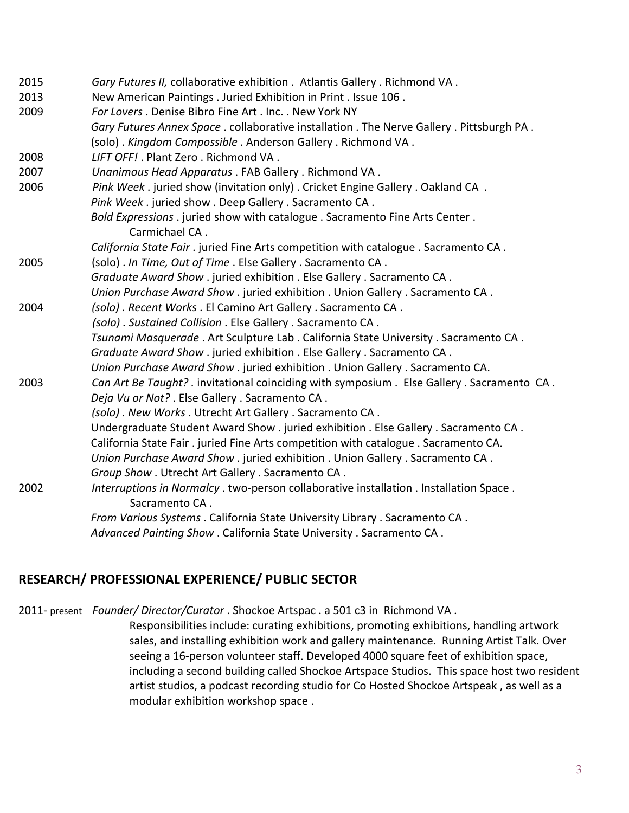| 2015 | Gary Futures II, collaborative exhibition . Atlantis Gallery . Richmond VA.                 |
|------|---------------------------------------------------------------------------------------------|
| 2013 | New American Paintings . Juried Exhibition in Print . Issue 106.                            |
| 2009 | For Lovers, Denise Bibro Fine Art, Inc., New York NY                                        |
|      | Gary Futures Annex Space . collaborative installation . The Nerve Gallery . Pittsburgh PA . |
|      | (solo). Kingdom Compossible. Anderson Gallery. Richmond VA.                                 |
| 2008 | LIFT OFF! . Plant Zero . Richmond VA .                                                      |
| 2007 | Unanimous Head Apparatus . FAB Gallery . Richmond VA.                                       |
| 2006 | Pink Week. juried show (invitation only). Cricket Engine Gallery. Oakland CA.               |
|      | Pink Week. juried show. Deep Gallery. Sacramento CA.                                        |
|      | Bold Expressions . juried show with catalogue . Sacramento Fine Arts Center.                |
|      | Carmichael CA.                                                                              |
|      | California State Fair . juried Fine Arts competition with catalogue . Sacramento CA.        |
| 2005 | (solo). In Time, Out of Time. Else Gallery. Sacramento CA.                                  |
|      | Graduate Award Show. juried exhibition . Else Gallery . Sacramento CA.                      |
|      | Union Purchase Award Show. juried exhibition . Union Gallery. Sacramento CA.                |
| 2004 | (solo). Recent Works. El Camino Art Gallery. Sacramento CA.                                 |
|      | (solo). Sustained Collision . Else Gallery . Sacramento CA.                                 |
|      | Tsunami Masquerade . Art Sculpture Lab . California State University . Sacramento CA .      |
|      | Graduate Award Show . juried exhibition . Else Gallery . Sacramento CA .                    |
|      | Union Purchase Award Show . juried exhibition . Union Gallery . Sacramento CA.              |
| 2003 | Can Art Be Taught?. invitational coinciding with symposium . Else Gallery . Sacramento CA.  |
|      | Deja Vu or Not? . Else Gallery . Sacramento CA.                                             |
|      | (solo). New Works. Utrecht Art Gallery. Sacramento CA.                                      |
|      | Undergraduate Student Award Show . juried exhibition . Else Gallery . Sacramento CA .       |
|      | California State Fair. juried Fine Arts competition with catalogue. Sacramento CA.          |
|      | Union Purchase Award Show . juried exhibition . Union Gallery . Sacramento CA.              |
|      | Group Show . Utrecht Art Gallery . Sacramento CA.                                           |
| 2002 | Interruptions in Normalcy . two-person collaborative installation . Installation Space .    |
|      | Sacramento CA.                                                                              |
|      | From Various Systems . California State University Library . Sacramento CA.                 |
|      | Advanced Painting Show . California State University . Sacramento CA.                       |

## **RESEARCH/ PROFESSIONAL EXPERIENCE/ PUBLIC SECTOR**

2011- present *Founder/ Director/Curator* . Shockoe Artspac . a 501 c3 in Richmond VA .

Responsibilities include: curating exhibitions, promoting exhibitions, handling artwork sales, and installing exhibition work and gallery maintenance. Running Artist Talk. Over seeing a 16-person volunteer staff. Developed 4000 square feet of exhibition space, including a second building called Shockoe Artspace Studios. This space host two resident artist studios, a podcast recording studio for Co Hosted Shockoe Artspeak , as well as a modular exhibition workshop space .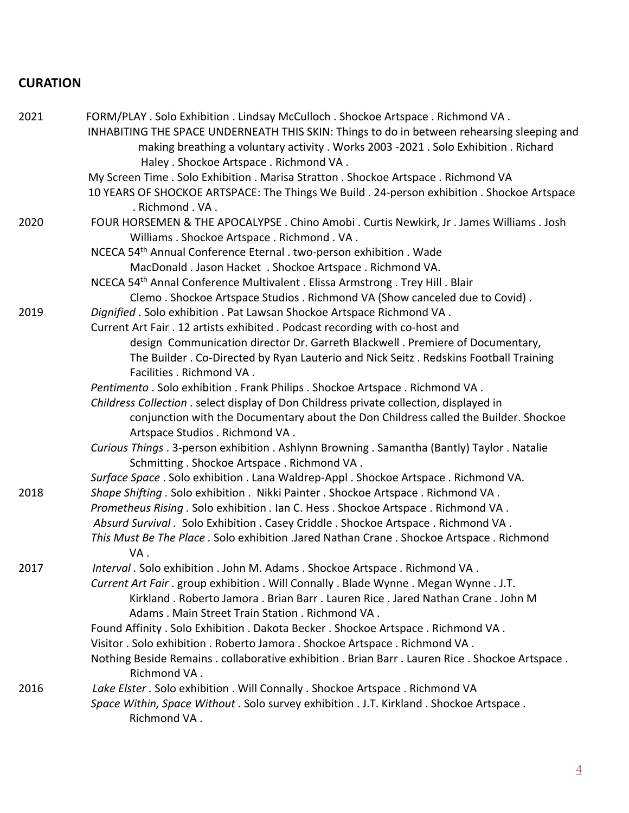# **CURATION**

| 2021 | FORM/PLAY . Solo Exhibition . Lindsay McCulloch . Shockoe Artspace . Richmond VA .                        |
|------|-----------------------------------------------------------------------------------------------------------|
|      | INHABITING THE SPACE UNDERNEATH THIS SKIN: Things to do in between rehearsing sleeping and                |
|      | making breathing a voluntary activity . Works 2003 -2021 . Solo Exhibition . Richard                      |
|      | Haley . Shockoe Artspace . Richmond VA.                                                                   |
|      | My Screen Time . Solo Exhibition . Marisa Stratton . Shockoe Artspace . Richmond VA                       |
|      | 10 YEARS OF SHOCKOE ARTSPACE: The Things We Build . 24-person exhibition . Shockoe Artspace               |
|      | . Richmond . VA.                                                                                          |
| 2020 | FOUR HORSEMEN & THE APOCALYPSE . Chino Amobi . Curtis Newkirk, Jr . James Williams . Josh                 |
|      | Williams . Shockoe Artspace . Richmond . VA .                                                             |
|      | NCECA 54 <sup>th</sup> Annual Conference Eternal . two-person exhibition . Wade                           |
|      | MacDonald. Jason Hacket . Shockoe Artspace. Richmond VA.                                                  |
|      | NCECA 54 <sup>th</sup> Annal Conference Multivalent . Elissa Armstrong . Trey Hill . Blair                |
|      | Clemo. Shockoe Artspace Studios. Richmond VA (Show canceled due to Covid).                                |
| 2019 | Dignified . Solo exhibition . Pat Lawsan Shockoe Artspace Richmond VA.                                    |
|      | Current Art Fair . 12 artists exhibited . Podcast recording with co-host and                              |
|      | design Communication director Dr. Garreth Blackwell . Premiere of Documentary,                            |
|      | The Builder. Co-Directed by Ryan Lauterio and Nick Seitz. Redskins Football Training                      |
|      | Facilities . Richmond VA.                                                                                 |
|      | Pentimento . Solo exhibition . Frank Philips . Shockoe Artspace . Richmond VA.                            |
|      | Childress Collection . select display of Don Childress private collection, displayed in                   |
|      | conjunction with the Documentary about the Don Childress called the Builder. Shockoe                      |
|      | Artspace Studios . Richmond VA.                                                                           |
|      | Curious Things . 3-person exhibition . Ashlynn Browning . Samantha (Bantly) Taylor . Natalie              |
|      | Schmitting . Shockoe Artspace . Richmond VA.                                                              |
|      | Surface Space . Solo exhibition . Lana Waldrep-Appl . Shockoe Artspace . Richmond VA.                     |
| 2018 | Shape Shifting . Solo exhibition . Nikki Painter . Shockoe Artspace . Richmond VA.                        |
|      | Prometheus Rising . Solo exhibition . Ian C. Hess . Shockoe Artspace . Richmond VA.                       |
|      | Absurd Survival . Solo Exhibition . Casey Criddle . Shockoe Artspace . Richmond VA .                      |
|      | This Must Be The Place . Solo exhibition .Jared Nathan Crane . Shockoe Artspace . Richmond<br>VA.         |
| 2017 | Interval . Solo exhibition . John M. Adams . Shockoe Artspace . Richmond VA.                              |
|      | Current Art Fair . group exhibition . Will Connally . Blade Wynne . Megan Wynne . J.T.                    |
|      | Kirkland. Roberto Jamora. Brian Barr. Lauren Rice. Jared Nathan Crane. John M                             |
|      | Adams . Main Street Train Station . Richmond VA.                                                          |
|      | Found Affinity . Solo Exhibition . Dakota Becker . Shockoe Artspace . Richmond VA.                        |
|      | Visitor . Solo exhibition . Roberto Jamora . Shockoe Artspace . Richmond VA .                             |
|      | Nothing Beside Remains . collaborative exhibition . Brian Barr . Lauren Rice . Shockoe Artspace .         |
|      | Richmond VA.                                                                                              |
| 2016 | Lake Elster . Solo exhibition . Will Connally . Shockoe Artspace . Richmond VA                            |
|      | Space Within, Space Without . Solo survey exhibition . J.T. Kirkland . Shockoe Artspace .<br>Richmond VA. |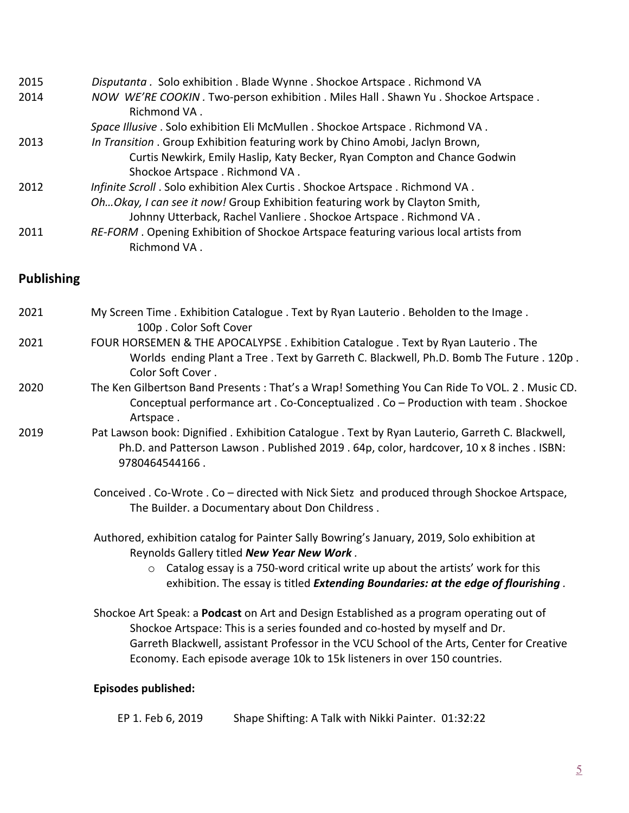| 2015 | Disputanta . Solo exhibition . Blade Wynne . Shockoe Artspace . Richmond VA          |
|------|--------------------------------------------------------------------------------------|
| 2014 | NOW WE'RE COOKIN. Two-person exhibition. Miles Hall. Shawn Yu. Shockoe Artspace.     |
|      | Richmond VA.                                                                         |
|      | Space Illusive . Solo exhibition Eli McMullen . Shockoe Artspace . Richmond VA.      |
| 2013 | In Transition . Group Exhibition featuring work by Chino Amobi, Jaclyn Brown,        |
|      | Curtis Newkirk, Emily Haslip, Katy Becker, Ryan Compton and Chance Godwin            |
|      | Shockoe Artspace . Richmond VA.                                                      |
| 2012 | Infinite Scroll. Solo exhibition Alex Curtis. Shockoe Artspace. Richmond VA.         |
|      | OhOkay, I can see it now! Group Exhibition featuring work by Clayton Smith,          |
|      | Johnny Utterback, Rachel Vanliere . Shockoe Artspace . Richmond VA.                  |
| 2011 | RE-FORM. Opening Exhibition of Shockoe Artspace featuring various local artists from |
|      | Richmond VA.                                                                         |

## **Publishing**

| 2021 | My Screen Time. Exhibition Catalogue. Text by Ryan Lauterio. Beholden to the Image.<br>100p. Color Soft Cover                                                                                                 |  |  |  |
|------|---------------------------------------------------------------------------------------------------------------------------------------------------------------------------------------------------------------|--|--|--|
| 2021 | FOUR HORSEMEN & THE APOCALYPSE. Exhibition Catalogue . Text by Ryan Lauterio. The<br>Worlds ending Plant a Tree . Text by Garreth C. Blackwell, Ph.D. Bomb The Future . 120p.<br>Color Soft Cover.            |  |  |  |
| 2020 | The Ken Gilbertson Band Presents: That's a Wrap! Something You Can Ride To VOL. 2. Music CD.<br>Conceptual performance art . Co-Conceptualized . Co - Production with team . Shockoe<br>Artspace.             |  |  |  |
| 2019 | Pat Lawson book: Dignified . Exhibition Catalogue . Text by Ryan Lauterio, Garreth C. Blackwell,<br>Ph.D. and Patterson Lawson. Published 2019. 64p, color, hardcover, 10 x 8 inches. ISBN:<br>9780464544166. |  |  |  |
|      | Conceived . Co-Wrote . Co – directed with Nick Sietz and produced through Shockoe Artspace,<br>The Builder. a Documentary about Don Childress.                                                                |  |  |  |
|      | Authored, exhibition catalog for Painter Sally Bowring's January, 2019, Solo exhibition at<br>Reynolds Gallery titled New Year New Work.                                                                      |  |  |  |
|      | Catalog essay is a 750-word critical write up about the artists' work for this<br>$\circ$<br>exhibition. The essay is titled <i>Extending Boundaries: at the edge of flourishing</i> .                        |  |  |  |
|      | Shockoe Art Speak: a Podcast on Art and Design Established as a program operating out of<br>Shockoe Artspace: This is a series founded and co-hosted by myself and Dr.                                        |  |  |  |

 Garreth Blackwell, assistant Professor in the VCU School of the Arts, Center for Creative Economy. Each episode average 10k to 15k listeners in over 150 countries.

## **Episodes published:**

| EP 1. Feb 6, 2019 | Shape Shifting: A Talk with Nikki Painter. 01:32:22 |  |
|-------------------|-----------------------------------------------------|--|
|                   |                                                     |  |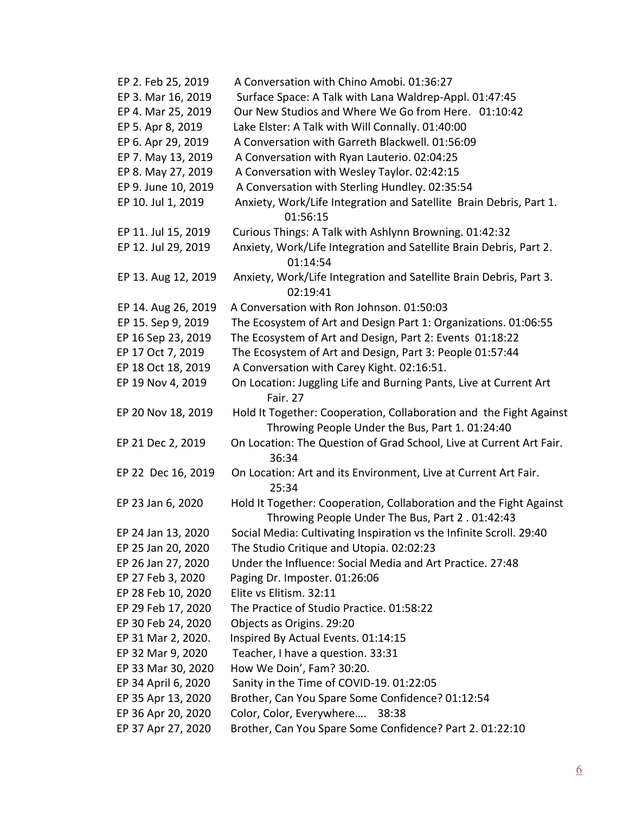| EP 2. Feb 25, 2019  | A Conversation with Chino Amobi, 01:36:27                                                                            |
|---------------------|----------------------------------------------------------------------------------------------------------------------|
| EP 3. Mar 16, 2019  | Surface Space: A Talk with Lana Waldrep-Appl. 01:47:45                                                               |
| EP 4. Mar 25, 2019  | Our New Studios and Where We Go from Here. 01:10:42                                                                  |
| EP 5. Apr 8, 2019   | Lake Elster: A Talk with Will Connally. 01:40:00                                                                     |
| EP 6. Apr 29, 2019  | A Conversation with Garreth Blackwell. 01:56:09                                                                      |
| EP 7. May 13, 2019  | A Conversation with Ryan Lauterio. 02:04:25                                                                          |
| EP 8. May 27, 2019  | A Conversation with Wesley Taylor. 02:42:15                                                                          |
| EP 9. June 10, 2019 | A Conversation with Sterling Hundley. 02:35:54                                                                       |
| EP 10. Jul 1, 2019  | Anxiety, Work/Life Integration and Satellite Brain Debris, Part 1.<br>01:56:15                                       |
| EP 11. Jul 15, 2019 | Curious Things: A Talk with Ashlynn Browning. 01:42:32                                                               |
| EP 12. Jul 29, 2019 | Anxiety, Work/Life Integration and Satellite Brain Debris, Part 2.<br>01:14:54                                       |
| EP 13. Aug 12, 2019 | Anxiety, Work/Life Integration and Satellite Brain Debris, Part 3.<br>02:19:41                                       |
| EP 14. Aug 26, 2019 | A Conversation with Ron Johnson. 01:50:03                                                                            |
| EP 15. Sep 9, 2019  | The Ecosystem of Art and Design Part 1: Organizations. 01:06:55                                                      |
| EP 16 Sep 23, 2019  | The Ecosystem of Art and Design, Part 2: Events 01:18:22                                                             |
| EP 17 Oct 7, 2019   | The Ecosystem of Art and Design, Part 3: People 01:57:44                                                             |
| EP 18 Oct 18, 2019  | A Conversation with Carey Kight. 02:16:51.                                                                           |
| EP 19 Nov 4, 2019   | On Location: Juggling Life and Burning Pants, Live at Current Art<br>Fair. 27                                        |
| EP 20 Nov 18, 2019  | Hold It Together: Cooperation, Collaboration and the Fight Against<br>Throwing People Under the Bus, Part 1.01:24:40 |
| EP 21 Dec 2, 2019   | On Location: The Question of Grad School, Live at Current Art Fair.<br>36:34                                         |
| EP 22 Dec 16, 2019  | On Location: Art and its Environment, Live at Current Art Fair.<br>25:34                                             |
| EP 23 Jan 6, 2020   | Hold It Together: Cooperation, Collaboration and the Fight Against<br>Throwing People Under The Bus, Part 2.01:42:43 |
| EP 24 Jan 13, 2020  | Social Media: Cultivating Inspiration vs the Infinite Scroll. 29:40                                                  |
| EP 25 Jan 20, 2020  | The Studio Critique and Utopia. 02:02:23                                                                             |
| EP 26 Jan 27, 2020  | Under the Influence: Social Media and Art Practice. 27:48                                                            |
| EP 27 Feb 3, 2020   | Paging Dr. Imposter. 01:26:06                                                                                        |
| EP 28 Feb 10, 2020  | Elite vs Elitism. 32:11                                                                                              |
| EP 29 Feb 17, 2020  | The Practice of Studio Practice. 01:58:22                                                                            |
| EP 30 Feb 24, 2020  | Objects as Origins. 29:20                                                                                            |
| EP 31 Mar 2, 2020.  | Inspired By Actual Events. 01:14:15                                                                                  |
| EP 32 Mar 9, 2020   | Teacher, I have a question. 33:31                                                                                    |
| EP 33 Mar 30, 2020  | How We Doin', Fam? 30:20.                                                                                            |
| EP 34 April 6, 2020 | Sanity in the Time of COVID-19. 01:22:05                                                                             |
| EP 35 Apr 13, 2020  | Brother, Can You Spare Some Confidence? 01:12:54                                                                     |
| EP 36 Apr 20, 2020  | Color, Color, Everywhere<br>38:38                                                                                    |
| EP 37 Apr 27, 2020  | Brother, Can You Spare Some Confidence? Part 2. 01:22:10                                                             |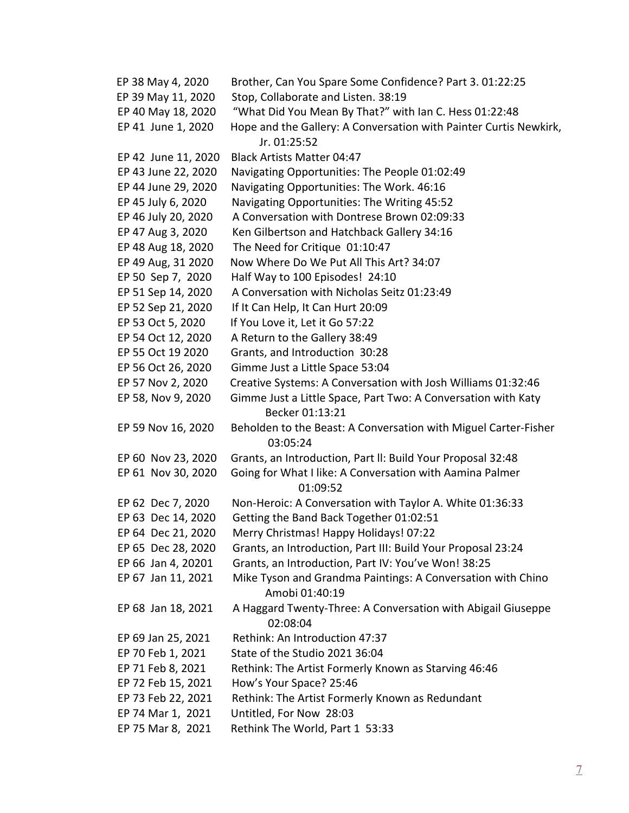| EP 38 May 4, 2020   | Brother, Can You Spare Some Confidence? Part 3. 01:22:25                          |
|---------------------|-----------------------------------------------------------------------------------|
| EP 39 May 11, 2020  | Stop, Collaborate and Listen. 38:19                                               |
| EP 40 May 18, 2020  | "What Did You Mean By That?" with Ian C. Hess 01:22:48                            |
| EP 41 June 1, 2020  | Hope and the Gallery: A Conversation with Painter Curtis Newkirk,<br>Jr. 01:25:52 |
|                     | <b>Black Artists Matter 04:47</b>                                                 |
| EP 42 June 11, 2020 |                                                                                   |
| EP 43 June 22, 2020 | Navigating Opportunities: The People 01:02:49                                     |
| EP 44 June 29, 2020 | Navigating Opportunities: The Work. 46:16                                         |
| EP 45 July 6, 2020  | Navigating Opportunities: The Writing 45:52                                       |
| EP 46 July 20, 2020 | A Conversation with Dontrese Brown 02:09:33                                       |
| EP 47 Aug 3, 2020   | Ken Gilbertson and Hatchback Gallery 34:16                                        |
| EP 48 Aug 18, 2020  | The Need for Critique 01:10:47                                                    |
| EP 49 Aug, 31 2020  | Now Where Do We Put All This Art? 34:07                                           |
| EP 50 Sep 7, 2020   | Half Way to 100 Episodes! 24:10                                                   |
| EP 51 Sep 14, 2020  | A Conversation with Nicholas Seitz 01:23:49                                       |
| EP 52 Sep 21, 2020  | If It Can Help, It Can Hurt 20:09                                                 |
| EP 53 Oct 5, 2020   | If You Love it, Let it Go 57:22                                                   |
| EP 54 Oct 12, 2020  | A Return to the Gallery 38:49                                                     |
| EP 55 Oct 19 2020   | Grants, and Introduction 30:28                                                    |
| EP 56 Oct 26, 2020  | Gimme Just a Little Space 53:04                                                   |
| EP 57 Nov 2, 2020   | Creative Systems: A Conversation with Josh Williams 01:32:46                      |
| EP 58, Nov 9, 2020  | Gimme Just a Little Space, Part Two: A Conversation with Katy<br>Becker 01:13:21  |
| EP 59 Nov 16, 2020  | Beholden to the Beast: A Conversation with Miguel Carter-Fisher<br>03:05:24       |
| EP 60 Nov 23, 2020  | Grants, an Introduction, Part II: Build Your Proposal 32:48                       |
| EP 61 Nov 30, 2020  | Going for What I like: A Conversation with Aamina Palmer                          |
|                     | 01:09:52                                                                          |
| EP 62 Dec 7, 2020   | Non-Heroic: A Conversation with Taylor A. White 01:36:33                          |
| EP 63 Dec 14, 2020  | Getting the Band Back Together 01:02:51                                           |
| EP 64 Dec 21, 2020  | Merry Christmas! Happy Holidays! 07:22                                            |
| EP 65 Dec 28, 2020  | Grants, an Introduction, Part III: Build Your Proposal 23:24                      |
| EP 66 Jan 4, 20201  | Grants, an Introduction, Part IV: You've Won! 38:25                               |
| EP 67 Jan 11, 2021  | Mike Tyson and Grandma Paintings: A Conversation with Chino<br>Amobi 01:40:19     |
| EP 68 Jan 18, 2021  | A Haggard Twenty-Three: A Conversation with Abigail Giuseppe<br>02:08:04          |
| EP 69 Jan 25, 2021  | Rethink: An Introduction 47:37                                                    |
| EP 70 Feb 1, 2021   | State of the Studio 2021 36:04                                                    |
| EP 71 Feb 8, 2021   | Rethink: The Artist Formerly Known as Starving 46:46                              |
| EP 72 Feb 15, 2021  | How's Your Space? 25:46                                                           |
| EP 73 Feb 22, 2021  | Rethink: The Artist Formerly Known as Redundant                                   |
| EP 74 Mar 1, 2021   | Untitled, For Now 28:03                                                           |
| EP 75 Mar 8, 2021   | Rethink The World, Part 1 53:33                                                   |
|                     |                                                                                   |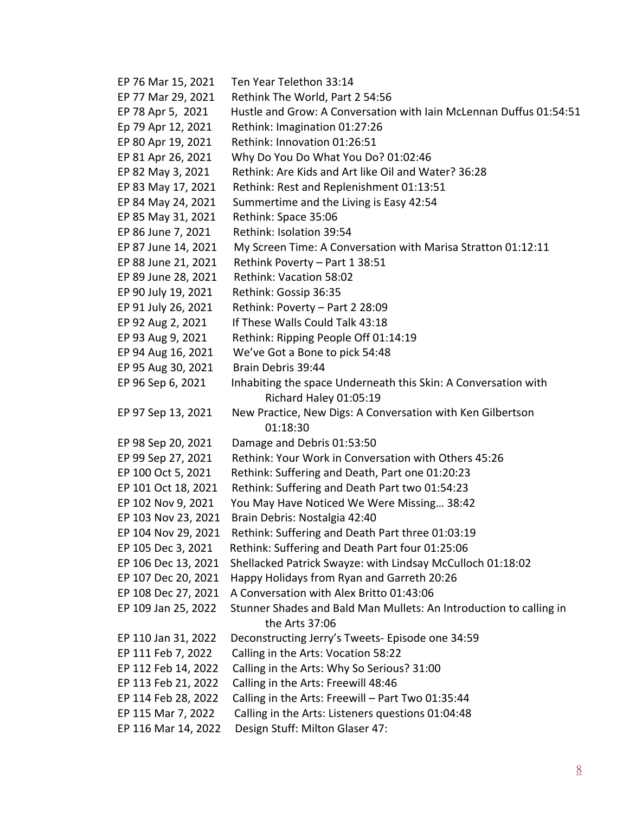EP 76 Mar 15, 2021 Ten Year Telethon 33:14 EP 77 Mar 29, 2021 Rethink The World, Part 2 54:56 EP 78 Apr 5, 2021 Hustle and Grow: A Conversation with Iain McLennan Duffus 01:54:51 Ep 79 Apr 12, 2021 Rethink: Imagination 01:27:26 EP 80 Apr 19, 2021 Rethink: Innovation 01:26:51 EP 81 Apr 26, 2021 Why Do You Do What You Do? 01:02:46 EP 82 May 3, 2021 Rethink: Are Kids and Art like Oil and Water? 36:28 EP 83 May 17, 2021 Rethink: Rest and Replenishment 01:13:51 EP 84 May 24, 2021 Summertime and the Living is Easy 42:54 EP 85 May 31, 2021 Rethink: Space 35:06 EP 86 June 7, 2021 Rethink: Isolation 39:54 EP 87 June 14, 2021 My Screen Time: A Conversation with Marisa Stratton 01:12:11 EP 88 June 21, 2021 Rethink Poverty – Part 1 38:51 EP 89 June 28, 2021 Rethink: Vacation 58:02 EP 90 July 19, 2021 Rethink: Gossip 36:35 EP 91 July 26, 2021 Rethink: Poverty – Part 2 28:09 EP 92 Aug 2, 2021 If These Walls Could Talk 43:18 EP 93 Aug 9, 2021 Rethink: Ripping People Off 01:14:19 EP 94 Aug 16, 2021 We've Got a Bone to pick 54:48 EP 95 Aug 30, 2021 Brain Debris 39:44 EP 96 Sep 6, 2021 Inhabiting the space Underneath this Skin: A Conversation with Richard Haley 01:05:19 EP 97 Sep 13, 2021 New Practice, New Digs: A Conversation with Ken Gilbertson 01:18:30 EP 98 Sep 20, 2021 Damage and Debris 01:53:50 EP 99 Sep 27, 2021 Rethink: Your Work in Conversation with Others 45:26 EP 100 Oct 5, 2021 Rethink: Suffering and Death, Part one 01:20:23 EP 101 Oct 18, 2021 Rethink: Suffering and Death Part two 01:54:23 EP 102 Nov 9, 2021 You May Have Noticed We Were Missing… 38:42 EP 103 Nov 23, 2021 Brain Debris: Nostalgia 42:40 EP 104 Nov 29, 2021 Rethink: Suffering and Death Part three 01:03:19 EP 105 Dec 3, 2021 Rethink: Suffering and Death Part four 01:25:06 EP 106 Dec 13, 2021 Shellacked Patrick Swayze: with Lindsay McCulloch 01:18:02 EP 107 Dec 20, 2021 Happy Holidays from Ryan and Garreth 20:26 EP 108 Dec 27, 2021 A Conversation with Alex Britto 01:43:06 EP 109 Jan 25, 2022 Stunner Shades and Bald Man Mullets: An Introduction to calling in the Arts 37:06 EP 110 Jan 31, 2022 Deconstructing Jerry's Tweets- Episode one 34:59 EP 111 Feb 7, 2022 Calling in the Arts: Vocation 58:22 EP 112 Feb 14, 2022 Calling in the Arts: Why So Serious? 31:00 EP 113 Feb 21, 2022 Calling in the Arts: Freewill 48:46 EP 114 Feb 28, 2022 Calling in the Arts: Freewill – Part Two 01:35:44 EP 115 Mar 7, 2022 Calling in the Arts: Listeners questions 01:04:48 EP 116 Mar 14, 2022 Design Stuff: Milton Glaser 47: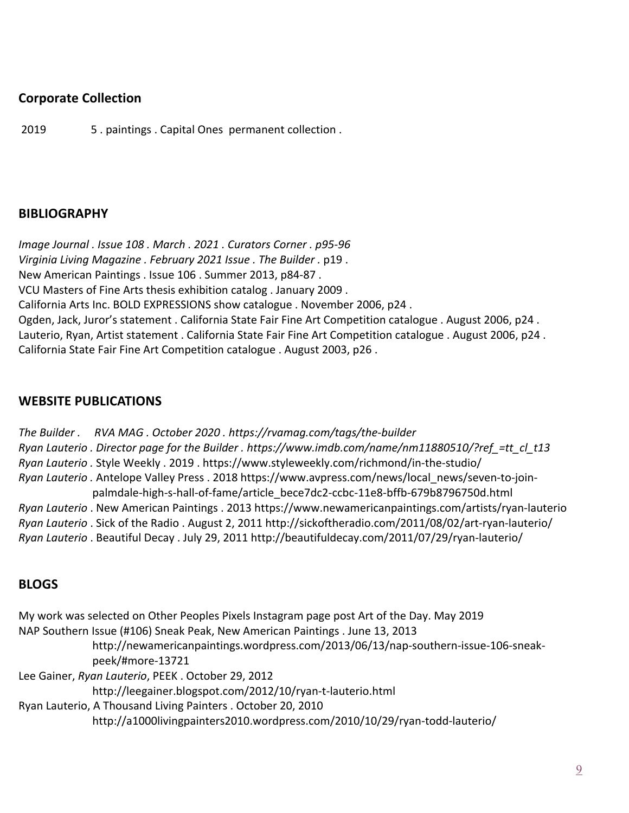## **Corporate Collection**

2019 5 . paintings . Capital Ones permanent collection .

## **BIBLIOGRAPHY**

*Image Journal . Issue 108 . March . 2021 . Curators Corner . p95-96 Virginia Living Magazine . February 2021 Issue . The Builder .* p19 . New American Paintings . Issue 106 . Summer 2013, p84-87 . VCU Masters of Fine Arts thesis exhibition catalog . January 2009 . California Arts Inc. BOLD EXPRESSIONS show catalogue . November 2006, p24 . Ogden, Jack, Juror's statement . California State Fair Fine Art Competition catalogue . August 2006, p24 . Lauterio, Ryan, Artist statement . California State Fair Fine Art Competition catalogue . August 2006, p24 . California State Fair Fine Art Competition catalogue . August 2003, p26 .

## **WEBSITE PUBLICATIONS**

*The Builder . RVA MAG . October 2020 . https://rvamag.com/tags/the-builder Ryan Lauterio . Director page for the Builder . https://www.imdb.com/name/nm11880510/?ref\_=tt\_cl\_t13 Ryan Lauterio .* Style Weekly . 2019 . https://www.styleweekly.com/richmond/in-the-studio/ *Ryan Lauterio .* Antelope Valley Press . 2018 https://www.avpress.com/news/local\_news/seven-to-joinpalmdale-high-s-hall-of-fame/article\_bece7dc2-ccbc-11e8-bffb-679b8796750d.html *Ryan Lauterio* . New American Paintings . 2013 https://www.newamericanpaintings.com/artists/ryan-lauterio *Ryan Lauterio* . Sick of the Radio . August 2, 2011 http://sickoftheradio.com/2011/08/02/art-ryan-lauterio/ *Ryan Lauterio* . Beautiful Decay . July 29, 2011 http://beautifuldecay.com/2011/07/29/ryan-lauterio/

#### **BLOGS**

My work was selected on Other Peoples Pixels Instagram page post Art of the Day. May 2019 NAP Southern Issue (#106) Sneak Peak, New American Paintings . June 13, 2013 http://newamericanpaintings.wordpress.com/2013/06/13/nap-southern-issue-106-sneakpeek/#more-13721 Lee Gainer, *Ryan Lauterio*, PEEK . October 29, 2012 http://leegainer.blogspot.com/2012/10/ryan-t-lauterio.html Ryan Lauterio, A Thousand Living Painters . October 20, 2010 http://a1000livingpainters2010.wordpress.com/2010/10/29/ryan-todd-lauterio/